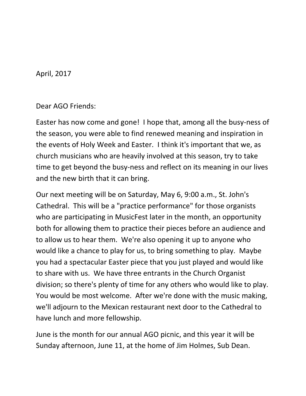April, 2017

Dear AGO Friends:

Easter has now come and gone! I hope that, among all the busy-ness of the season, you were able to find renewed meaning and inspiration in the events of Holy Week and Easter. I think it's important that we, as church musicians who are heavily involved at this season, try to take time to get beyond the busy-ness and reflect on its meaning in our lives and the new birth that it can bring.

Our next meeting will be on Saturday, May 6, 9:00 a.m., St. John's Cathedral. This will be a "practice performance" for those organists who are participating in MusicFest later in the month, an opportunity both for allowing them to practice their pieces before an audience and to allow us to hear them. We're also opening it up to anyone who would like a chance to play for us, to bring something to play. Maybe you had a spectacular Easter piece that you just played and would like to share with us. We have three entrants in the Church Organist division; so there's plenty of time for any others who would like to play. You would be most welcome. After we're done with the music making, we'll adjourn to the Mexican restaurant next door to the Cathedral to have lunch and more fellowship.

June is the month for our annual AGO picnic, and this year it will be Sunday afternoon, June 11, at the home of Jim Holmes, Sub Dean.